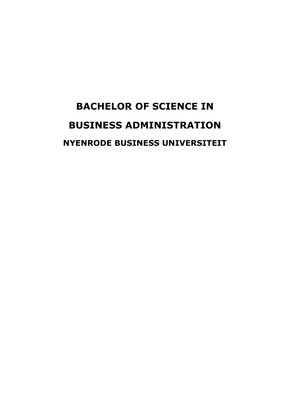# **BACHELOR OF SCIENCE IN BUSINESS ADMINISTRATION NYENRODE BUSINESS UNIVERSITEIT**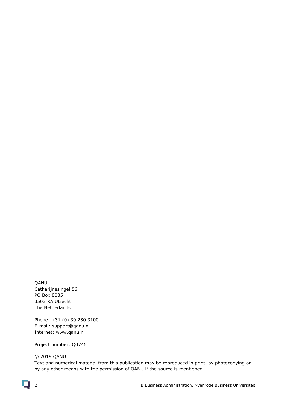QANU Catharijnesingel 56 PO Box 8035 3503 RA Utrecht The Netherlands

Phone: +31 (0) 30 230 3100 E-mail: support@qanu.nl Internet: www.qanu.nl

Project number: Q0746

#### © 2019 QANU

Text and numerical material from this publication may be reproduced in print, by photocopying or by any other means with the permission of QANU if the source is mentioned.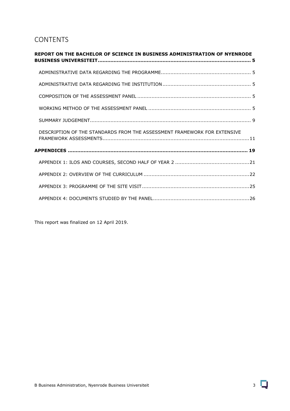### CONTENTS

| REPORT ON THE BACHELOR OF SCIENCE IN BUSINESS ADMINISTRATION OF NYENRODE |
|--------------------------------------------------------------------------|
|                                                                          |
|                                                                          |
|                                                                          |
|                                                                          |
|                                                                          |
|                                                                          |
| DESCRIPTION OF THE STANDARDS FROM THE ASSESSMENT FRAMEWORK FOR EXTENSIVE |
|                                                                          |
|                                                                          |
|                                                                          |
|                                                                          |
|                                                                          |
|                                                                          |

This report was finalized on 12 April 2019.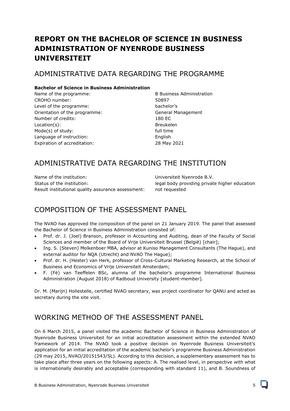# <span id="page-4-0"></span>**REPORT ON THE BACHELOR OF SCIENCE IN BUSINESS ADMINISTRATION OF NYENRODE BUSINESS UNIVERSITEIT**

### <span id="page-4-1"></span>ADMINISTRATIVE DATA REGARDING THE PROGRAMME

### **Bachelor of Science in Business Administration**

Name of the programme: The process Administration by B Business Administration CROHO number: 50897 Level of the programme: bachelor's Orientation of the programme: General Management Number of credits: 180 EC Location(s): Breukelen Mode(s) of study: The study: the study of study: Language of instruction: English Expiration of accreditation: 28 May 2021

### <span id="page-4-2"></span>ADMINISTRATIVE DATA REGARDING THE INSTITUTION

Name of the institution:  $\blacksquare$ Status of the institution: legal body providing private higher education Result institutional quality assurance assessment: not requested

### <span id="page-4-3"></span>COMPOSITION OF THE ASSESSMENT PANEL

The NVAO has approved the composition of the panel on 21 January 2019. The panel that assessed the Bachelor of Science in Business Administration consisted of:

- Prof. dr. J. (Joel) Branson, professor in Accounting and Auditing, dean of the Faculty of Social Sciences and member of the Board of Vrije Universiteit Brussel (België) [chair];
- Ing. S. (Steven) Molkenboer MBA, advisor at Kuniso Management Consultants (The Hague), and external auditor for NQA (Utrecht) and NVAO The Hague);
- Prof. dr. H. (Hester) van Herk, professor of Cross-Cultural Marketing Research, at the School of Business and Economics of Vrije Universiteit Amsterdam;
- F. (Fé) van Teeffelen BSc, alumna of the bachelor's programme International Business Administration (August 2018) of Radboud University [student-member].

Dr. M. (Marijn) Hollestelle, certified NVAO secretary, was project coordinator for QANU and acted as secretary during the site visit.

### <span id="page-4-4"></span>WORKING METHOD OF THE ASSESSMENT PANEL

On 6 March 2015, a panel visited the academic Bachelor of Science in Business Administration of Nyenrode Business Universiteit for an initial accreditation assessment within the extended NVAO framework of 2014. The NVAO took a positive decision on Nyenrode Business Universiteit's application for an initial accreditation of the academic bachelor's programme Business Administration (29 may 2015, NVAO/20151543/SL). According to this decision, a supplementary assessment has to take place after three years on the following aspects: A. The realised level, in perspective with what is internationally desirably and acceptable (corresponding with standard 11), and B. Soundness of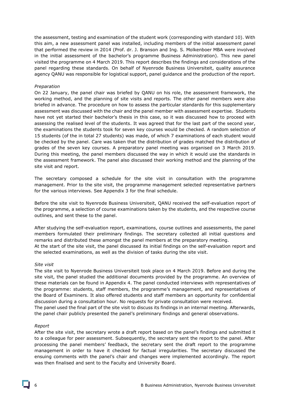the assessment, testing and examination of the student work (corresponding with standard 10). With this aim, a new assessment panel was installed, including members of the initial assessment panel that performed the review in 2014 (Prof. dr. J. Branson and Ing. S. Molkenboer MBA were involved in the initial assessment of the bachelor's programme Business Administration). This new panel visited the programme on 4 March 2019. This report describes the findings and considerations of the panel regarding these standards. On behalf of Nyenrode Business Universiteit, quality assurance agency QANU was responsible for logistical support, panel guidance and the production of the report.

#### *Preparation*

On 22 January, the panel chair was briefed by QANU on his role, the assessment framework, the working method, and the planning of site visits and reports. The other panel members were also briefed in advance. The procedure on how to assess the particular standards for this supplementary assessment was discussed with the chair and the panel member with assessment expertise. Students have not yet started their bachelor's thesis in this case, so it was discussed how to proceed with assessing the realised level of the students. It was agreed that for the last part of the second year, the examinations the students took for seven key courses would be checked. A random selection of 15 students (of the in total 27 students) was made, of which 7 examinations of each student would be checked by the panel. Care was taken that the distribution of grades matched the distribution of grades of the seven key courses. A preparatory panel meeting was organised on 3 March 2019. During this meeting, the panel members discussed the way in which it would use the standards in the assessment framework. The panel also discussed their working method and the planning of the site visit and report.

The secretary composed a schedule for the site visit in consultation with the programme management. Prior to the site visit, the programme management selected representative partners for the various interviews. See Appendix 3 for the final schedule.

Before the site visit to Nyenrode Business Universiteit, QANU received the self-evaluation report of the programme, a selection of course examinations taken by the students, and the respective course outlines, and sent these to the panel.

After studying the self-evaluation report, examinations, course outlines and assessments, the panel members formulated their preliminary findings. The secretary collected all initial questions and remarks and distributed these amongst the panel members at the preparatory meeting.

At the start of the site visit, the panel discussed its initial findings on the self-evaluation report and the selected examinations, as well as the division of tasks during the site visit.

#### *Site visit*

The site visit to Nyenrode Business Universiteit took place on 4 March 2019. Before and during the site visit, the panel studied the additional documents provided by the programme. An overview of these materials can be found in Appendix 4. The panel conducted interviews with representatives of the programme: students, staff members, the programme's management, and representatives of the Board of Examiners. It also offered students and staff members an opportunity for confidential discussion during a consultation hour. No requests for private consultation were received.

The panel used the final part of the site visit to discuss its findings in an internal meeting. Afterwards, the panel chair publicly presented the panel's preliminary findings and general observations.

#### *Report*

After the site visit, the secretary wrote a draft report based on the panel's findings and submitted it to a colleague for peer assessment. Subsequently, the secretary sent the report to the panel. After processing the panel members' feedback, the secretary sent the draft report to the programme management in order to have it checked for factual irregularities. The secretary discussed the ensuing comments with the panel's chair and changes were implemented accordingly. The report was then finalised and sent to the Faculty and University Board.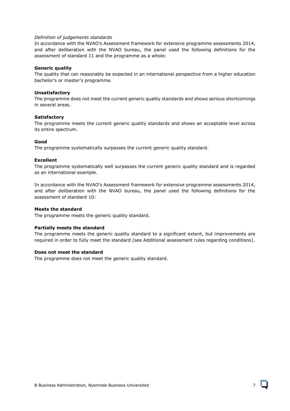#### *Definition of judgements standards*

In accordance with the NVAO's Assessment framework for extensive programme assessments 2014, and after deliberation with the NVAO bureau, the panel used the following definitions for the assessment of standard 11 and the programme as a whole:

#### **Generic quality**

The quality that can reasonably be expected in an international perspective from a higher education bachelor's or master's programme.

#### **Unsatisfactory**

The programme does not meet the current generic quality standards and shows serious shortcomings in several areas.

#### **Satisfactory**

The programme meets the current generic quality standards and shows an acceptable level across its entire spectrum.

#### **Good**

The programme systematically surpasses the current generic quality standard.

#### **Excellent**

The programme systematically well surpasses the current generic quality standard and is regarded as an international example.

In accordance with the NVAO's Assessment framework for extensive programme assessments 2014, and after deliberation with the NVAO bureau, the panel used the following definitions for the assessment of standard 10:

#### **Meets the standard**

The programme meets the generic quality standard.

#### **Partially meets the standard**

The programme meets the generic quality standard to a significant extent, but improvements are required in order to fully meet the standard (see Additional assessment rules regarding conditions).

#### **Does not meet the standard**

The programme does not meet the generic quality standard.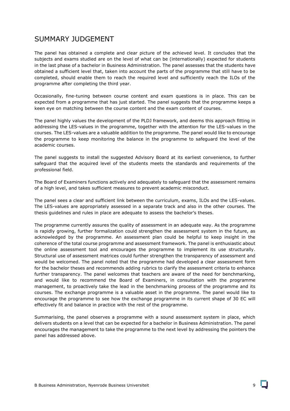### <span id="page-8-0"></span>SUMMARY JUDGEMENT

The panel has obtained a complete and clear picture of the achieved level. It concludes that the subjects and exams studied are on the level of what can be (internationally) expected for students in the last phase of a bachelor in Business Administration. The panel assesses that the students have obtained a sufficient level that, taken into account the parts of the programme that still have to be completed, should enable them to reach the required level and sufficiently reach the ILOs of the programme after completing the third year.

Occasionally, fine-tuning between course content and exam questions is in place. This can be expected from a programme that has just started. The panel suggests that the programme keeps a keen eye on matching between the course content and the exam content of courses.

The panel highly values the development of the PLDJ framework, and deems this approach fitting in addressing the LES-values in the programme, together with the attention for the LES-values in the courses. The LES-values are a valuable addition to the programme. The panel would like to encourage the programme to keep monitoring the balance in the programme to safeguard the level of the academic courses.

The panel suggests to install the suggested Advisory Board at its earliest convenience, to further safeguard that the acquired level of the students meets the standards and requirements of the professional field.

The Board of Examiners functions actively and adequately to safeguard that the assessment remains of a high level, and takes sufficient measures to prevent academic misconduct.

The panel sees a clear and sufficient link between the curriculum, exams, ILOs and the LES-values. The LES-values are appropriately assessed in a separate track and also in the other courses. The thesis guidelines and rules in place are adequate to assess the bachelor's theses.

The programme currently assures the quality of assessment in an adequate way. As the programme is rapidly growing, further formalization could strengthen the assessment system in the future, as acknowledged by the programme. An assessment plan could be helpful to keep insight in the coherence of the total course programme and assessment framework. The panel is enthusiastic about the online assessment tool and encourages the programme to implement its use structurally. Structural use of assessment matrices could further strengthen the transparency of assessment and would be welcomed. The panel noted that the programme had developed a clear assessment form for the bachelor theses and recommends adding rubrics to clarify the assessment criteria to enhance further transparency. The panel welcomes that teachers are aware of the need for benchmarking, and would like to recommend the Board of Examiners, in consultation with the programme management, to proactively take the lead in the benchmarking process of the programme and its courses. The exchange programme is a valuable asset in the programme. The panel would like to encourage the programme to see how the exchange programme in its current shape of 30 EC will effectively fit and balance in practice with the rest of the programme.

Summarising, the panel observes a programme with a sound assessment system in place, which delivers students on a level that can be expected for a bachelor in Business Administration. The panel encourages the management to take the programme to the next level by addressing the pointers the panel has addressed above.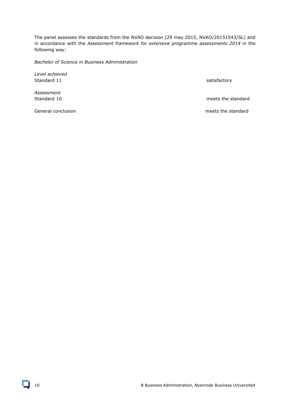The panel assesses the standards from the NVAO decision (29 may 2015, NVAO/20151543/SL) and in accordance with the *Assessment framework for extensive programme assessments 2014* in the following way:

*Bachelor of Science in Business Administration*

*Level achieved* Standard 11 satisfactory

*Assessment* Standard 10 and 10 meets the standard standard in the standard meets the standard

General conclusion and the standard conclusion of the standard meets the standard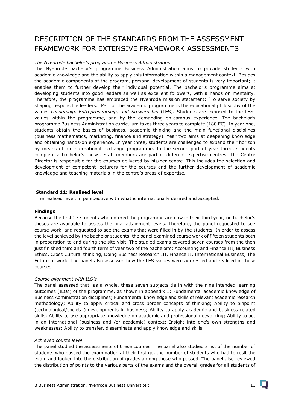### <span id="page-10-0"></span>DESCRIPTION OF THE STANDARDS FROM THE ASSESSMENT FRAMEWORK FOR EXTENSIVE FRAMEWORK ASSESSMENTS

#### *The Nyenrode bachelor's programme Business Administration*

The Nyenrode bachelor's programme Business Administration aims to provide students with academic knowledge and the ability to apply this information within a management context. Besides the academic components of the program, personal development of students is very important; it enables them to further develop their individual potential. The bachelor's programme aims at developing students into good leaders as well as excellent followers, with a hands on mentality. Therefore, the programme has embraced the Nyenrode mission statement: "To serve society by shaping responsible leaders." Part of the academic programme is the educational philosophy of the values *Leadership, Entrepreneurship, and Stewardship* (LES)*.* Students are exposed to the LESvalues within the programme, and by the demanding on-campus experience. The bachelor's programme Business Administration curriculum takes three years to complete (180 EC). In year one, students obtain the basics of business, academic thinking and the main functional disciplines (business mathematics, marketing, finance and strategy). Year two aims at deepening knowledge and obtaining hands-on experience. In year three, students are challenged to expand their horizon by means of an international exchange programme. In the second part of year three, students complete a bachelor's thesis. Staff members are part of different expertise centres. The Centre Director is responsible for the courses delivered by his/her centre. This includes the selection and development of competent lecturers for the courses and the further development of academic knowledge and teaching materials in the centre's areas of expertise.

#### **Standard 11: Realised level**

The realised level, in perspective with what is internationally desired and accepted.

#### **Findings**

Because the first 27 students who entered the programme are now in their third year, no bachelor's theses are available to assess the final attainment levels. Therefore, the panel requested to see course work, and requested to see the exams that were filled in by the students. In order to assess the level achieved by the bachelor students, the panel examined course work of fifteen students both in preparation to and during the site visit. The studied exams covered seven courses from the then just finished third and fourth term of year two of the bachelor's: Accounting and Finance III, Business Ethics, Cross Cultural thinking, Doing Business Research III, Finance II, International Business, The Future of work. The panel also assessed how the LES-values were addressed and realised in these courses.

### *Course alignment with ILO's*

The panel assessed that, as a whole, these seven subjects tie in with the nine intended learning outcomes (ILOs) of the programme, as shown in appendix 1: Fundamental academic knowledge of Business Administration disciplines; Fundamental knowledge and skills of relevant academic research methodology; Ability to apply critical and cross border concepts of thinking; Ability to pinpoint (technological/societal) developments in business; Ability to apply academic and business-related skills; Ability to use appropriate knowledge on academic and professional networking; Ability to act in an international (business and /or academic) context; Insight into one's own strengths and weaknesses; Ability to transfer, disseminate and apply knowledge and skills.

#### *Achieved course level*

The panel studied the assessments of these courses. The panel also studied a list of the number of students who passed the examination at their first go, the number of students who had to resit the exam and looked into the distribution of grades among those who passed. The panel also reviewed the distribution of points to the various parts of the exams and the overall grades for all students of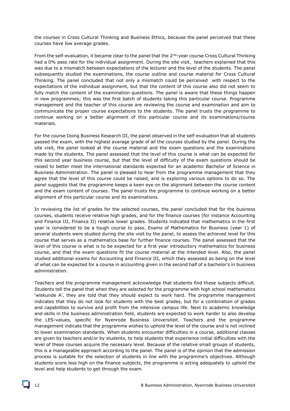the courses in Cross Cultural Thinking and Business Ethics, because the panel perceived that these courses have low average grades.

From the self-evaluation, it became clear to the panel that the  $2<sup>nd</sup>$ -year course Cross Cultural Thinking had a 0% pass rate for the individual assignment. During the site visit, teachers explained that this was due to a mismatch between expectations of the lecturer and the level of the students. The panel subsequently studied the examinations, the course outline and course material for Cross Cultural Thinking. The panel concluded that not only a mismatch could be perceived with respect to the expectations of the individual assignment, but that the content of this course also did not seem to fully match the content of the examination questions. The panel is aware that these things happen in new programmes; this was the first batch of students taking this particular course. Programme management and the teacher of this course are reviewing the course and examination and aim to communicate the proper course expectations to the students. The panel trusts the programme to continue working on a better alignment of this particular course and its examinations/course materials.

For the course Doing Business Research III, the panel observed in the self-evaluation that all students passed the exam, with the highest average grade of all the courses studied by the panel. During the site visit, the panel looked at the course material and the exam questions and the examinations made by the students. The panel assessed that the level of this course is what can be expected for this second year business course, but that the level of difficulty of the exam questions should be raised to better meet the international standards expected for an academic Bachelor of Science in Business Administration. The panel is pleased to hear from the programme management that they agree that the level of this course could be raised, and is exploring various options to do so. The panel suggests that the programme keeps a keen eye on the alignment between the course content and the exam content of courses. The panel trusts the programme to continue working on a better alignment of this particular course and its examinations.

In reviewing the list of grades for the selected courses, the panel concluded that for the business courses, students receive relative high grades, and for the finance courses (for instance Accounting and Finance III, Finance II) relative lower grades. Students indicated that mathematics in the first year is considered to be a tough course to pass. Exams of Mathematics for Business (year 1) of several students were studied during the site visit by the panel, to assess the achieved level for this course that serves as a mathematics base for further finance courses. The panel assessed that the level of this course is what is to be expected for a first year introductory mathematics for business course, and that the exam questions fit the course material at the intended level. Also, the panel studied additional exams for Accounting and Finance III, which they assessed as being on the level of what can be expected for a course in accounting given in the second half of a bachelor's in business administration.

Teachers and the programme management acknowledge that students find these subjects difficult. Students tell the panel that when they are selected for the programme with high school mathematics 'wiskunde A', they are told that they should expect to work hard. The programme management indicates that they do not look for students with the best grades, but for a combination of grades and capabilities to survive and profit from the intensive campus life. Next to academic knowledge and skills in the business administration field, students are expected to work harder to also develop the LES-values, specific for Nyenrode Business Universiteit. Teachers and the programme management indicate that the programme wishes to uphold the level of the course and is not inclined to lower examination standards. When students encounter difficulties in a course, additional classes are given by teachers and/or by students, to help students that experience initial difficulties with the level of these courses acquire the necessary level. Because of the relative small groups of students, this is a manageable approach according to the panel. The panel is of the opinion that the admission process is suitable for the selection of students in line with the programme's objectives. Although students score less high on the finance subjects, the programme is acting adequately to uphold the level and help students to get through the exam.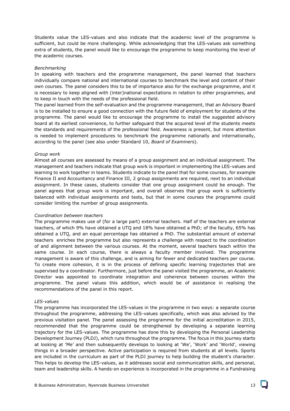Students value the LES-values and also indicate that the academic level of the programme is sufficient, but could be more challenging. While acknowledging that the LES-values ask something extra of students, the panel would like to encourage the programme to keep monitoring the level of the academic courses.

#### *Benchmarking*

In speaking with teachers and the programme management, the panel learned that teachers individually compare national and international courses to benchmark the level and content of their own courses. The panel considers this to be of importance also for the exchange programme, and it is necessary to keep aligned with (inter)national expectations in relation to other programmes, and to keep in touch with the needs of the professional field.

The panel learned from the self-evaluation and the programme management, that an Advisory Board is to be installed to ensure a good connection with the future field of employment for students of the programme. The panel would like to encourage the programme to install the suggested advisory board at its earliest convenience, to further safeguard that the acquired level of the students meets the standards and requirements of the professional field. Awareness is present, but more attention is needed to implement procedures to benchmark the programme nationally and internationally, according to the panel (see also under Standard 10, *Board of Examiners*).

#### *Group work*

Almost all courses are assessed by means of a group assignment and an individual assignment. The management and teachers indicate that group work is important in implementing the LES-values and learning to work together in teams. Students indicate to the panel that for some courses, for example Finance II and Accountancy and Finance III, 2 group assignments are required, next to an individual assignment. In these cases, students consider that one group assignment could be enough. The panel agrees that group work is important, and overall observes that group work is sufficiently balanced with individual assignments and tests, but that in some courses the programme could consider limiting the number of group assignments.

#### *Coordination between teachers*

The programme makes use of (for a large part) external teachers. Half of the teachers are external teachers, of which 9% have obtained a UTQ and 18% have obtained a PhD; of the faculty, 65% has obtained a UTQ, and an equal percentage has obtained a PhD. The substantial amount of external teachers enriches the programme but also represents a challenge with respect to the coordination of and alignment between the various courses. At the moment, several teachers teach within the same course. In each course, there is always a faculty member involved. The programme management is aware of this challenge, and is aiming for fewer and dedicated teachers per course. To create more cohesion, it is in the process of defining specific learning trajectories that are supervised by a coordinator. Furthermore, just before the panel visited the programme, an Academic Director was appointed to coordinate integration and coherence between courses within the programme. The panel values this addition, which would be of assistance in realising the recommendations of the panel in this report.

#### *LES-values*

The programme has incorporated the LES-values in the programme in two ways: a separate course throughout the programme, addressing the LES-values specifically, which was also advised by the previous visitation panel. The panel assessing the programme for the initial accreditation in 2015, recommended that the programme could be strengthened by developing a separate learning trajectory for the LES-values. The programme has done this by developing the Personal Leadership Development Journey (PLDJ), which runs throughout the programme. The focus in this journey starts at looking at 'Me' and then subsequently develops to looking at 'We', 'Work' and 'World', viewing things in a broader perspective. Active participation is required from students at all levels. Sports are included in the curriculum as part of the PLDJ journey to help building the student's character. This helps to develop the LES-values, as it addresses social and communication skills, and personal, team and leadership skills. A hands-on experience is incorporated in the programme in a Fundraising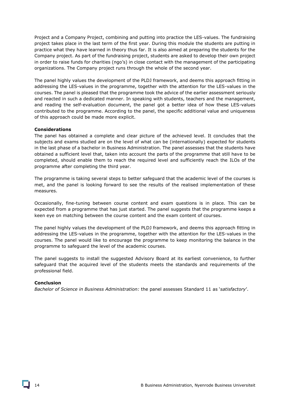Project and a Company Project, combining and putting into practice the LES-values. The fundraising project takes place in the last term of the first year. During this module the students are putting in practice what they have learned in theory thus far. It is also aimed at preparing the students for the Company project. As part of the fundraising project, students are asked to develop their own project in order to raise funds for charities (ngo's) in close contact with the management of the participating organizations. The Company project runs through the whole of the second year.

The panel highly values the development of the PLDJ framework, and deems this approach fitting in addressing the LES-values in the programme, together with the attention for the LES-values in the courses. The panel is pleased that the programme took the advice of the earlier assessment seriously and reacted in such a dedicated manner. In speaking with students, teachers and the management, and reading the self-evaluation document, the panel got a better idea of how these LES-values contributed to the programme. According to the panel, the specific additional value and uniqueness of this approach could be made more explicit.

#### **Considerations**

The panel has obtained a complete and clear picture of the achieved level. It concludes that the subjects and exams studied are on the level of what can be (internationally) expected for students in the last phase of a bachelor in Business Administration. The panel assesses that the students have obtained a sufficient level that, taken into account the parts of the programme that still have to be completed, should enable them to reach the required level and sufficiently reach the ILOs of the programme after completing the third year.

The programme is taking several steps to better safeguard that the academic level of the courses is met, and the panel is looking forward to see the results of the realised implementation of these measures.

Occasionally, fine-tuning between course content and exam questions is in place. This can be expected from a programme that has just started. The panel suggests that the programme keeps a keen eye on matching between the course content and the exam content of courses.

The panel highly values the development of the PLDJ framework, and deems this approach fitting in addressing the LES-values in the programme, together with the attention for the LES-values in the courses. The panel would like to encourage the programme to keep monitoring the balance in the programme to safeguard the level of the academic courses.

The panel suggests to install the suggested Advisory Board at its earliest convenience, to further safeguard that the acquired level of the students meets the standards and requirements of the professional field.

#### **Conclusion**

*Bachelor of Science in Business Administration:* the panel assesses Standard 11 as '*satisfactory*'.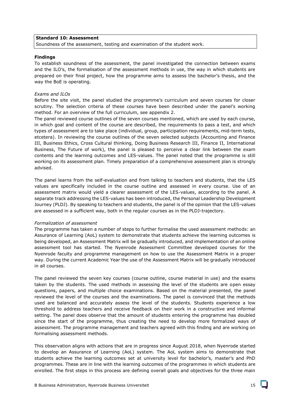#### **Standard 10: Assessment**

Soundness of the assessment, testing and examination of the student work.

#### **Findings**

To establish soundness of the assessment, the panel investigated the connection between exams and the ILO's, the formalisation of the assessment methods in use, the way in which students are prepared on their final project, how the programme aims to assess the bachelor's thesis, and the way the BoE is operating.

#### *Exams and ILOs*

Before the site visit, the panel studied the programme's curriculum and seven courses for closer scrutiny. The selection criteria of these courses have been described under the panel's working method. For an overview of the full curriculum, see appendix 2.

The panel reviewed course outlines of the seven courses mentioned, which are used by each course, in which goal and content of the course are described, the requirements to pass a test, and which types of assessment are to take place (individual, group, participation requirements, mid-term tests, etcetera). In reviewing the course outlines of the seven selected subjects (Accounting and Finance III, Business Ethics, Cross Cultural thinking, Doing Business Research III, Finance II, International Business, The Future of work), the panel is pleased to perceive a clear link between the exam contents and the learning outcomes and LES-values. The panel noted that the programme is still working on its assessment plan. Timely preparation of a comprehensive assessment plan is strongly advised.

The panel learns from the self-evaluation and from talking to teachers and students, that the LES values are specifically included in the course outline and assessed in every course. Use of an assessment matrix would yield a clearer assessment of the LES-values, according to the panel. A separate track addressing the LES-values has been introduced, the Personal Leadership Development Journey (PLDJ). By speaking to teachers and students, the panel is of the opinion that the LES-values are assessed in a sufficient way, both in the regular courses as in the PLDJ-trajectory.

#### *Formalization of assessment*

The programme has taken a number of steps to further formalise the used assessment methods: an Assurance of Learning (AoL) system to demonstrate that students achieve the learning outcomes is being developed, an Assessment Matrix will be gradually introduced, and implementation of an online assessment tool has started. The Nyenrode Assessment Committee developed courses for the Nyenrode faculty and programme management on how to use the Assessment Matrix in a proper way. During the current Academic Year the use of the Assessment Matrix will be gradually introduced in all courses.

The panel reviewed the seven key courses (course outline, course material in use) and the exams taken by the students. The used methods in assessing the level of the students are open essay questions, papers, and multiple choice examinations. Based on the material presented, the panel reviewed the level of the courses and the examinations. The panel is convinced that the methods used are balanced and accurately assess the level of the students. Students experience a low threshold to address teachers and receive feedback on their work in a constructive and informal setting. The panel does observe that the amount of students entering the programme has doubled since the start of the programme, thus creating the need to develop more formalized ways of assessment. The programme management and teachers agreed with this finding and are working on formalising assessment methods.

This observation aligns with actions that are in progress since August 2018, when Nyenrode started to develop an Assurance of Learning (AoL) system. The AoL system aims to demonstrate that students achieve the learning outcomes set at university level for bachelor's, master's and PhD programmes. These are in line with the learning outcomes of the programmes in which students are enrolled. The first steps in this process are defining overall goals and objectives for the three main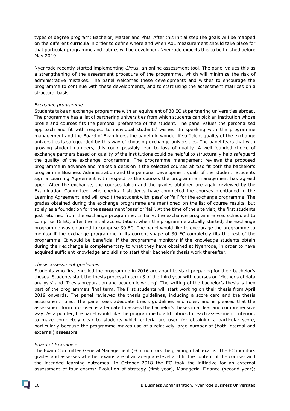types of degree program: Bachelor, Master and PhD. After this initial step the goals will be mapped on the different curricula in order to define where and when AoL measurement should take place for that particular programme and rubrics will be developed. Nyenrode expects this to be finished before May 2019.

Nyenrode recently started implementing *Cirrus*, an online assessment tool. The panel values this as a strengthening of the assessment procedure of the programme, which will minimize the risk of administrative mistakes. The panel welcomes these developments and wishes to encourage the programme to continue with these developments, and to start using the assessment matrices on a structural basis.

#### *Exchange programme*

Students take an exchange programme with an equivalent of 30 EC at partnering universities abroad. The programme has a list of partnering universities from which students can pick an institution whose profile and courses fits the personal preference of the student. The panel values the personalised approach and fit with respect to individual students' wishes. In speaking with the programme management and the Board of Examiners, the panel did wonder if sufficient quality of the exchange universities is safeguarded by this way of choosing exchange universities. The panel fears that with growing student numbers, this could possibly lead to loss of quality. A well-founded choice of exchange partners based on quality of the institutions could be helpful to structurally help safeguard the quality of the exchange programme. The programme management reviews the proposed programme in advance and makes a decision if the selected courses abroad fit both the bachelor's programme Business Administration and the personal development goals of the student. Students sign a Learning Agreement with respect to the courses the programme management has agreed upon. After the exchange, the courses taken and the grades obtained are again reviewed by the Examination Committee, who checks if students have completed the courses mentioned in the Learning Agreement, and will credit the student with 'pass' or 'fail' for the exchange programme. The grades obtained during the exchange programme are mentioned on the list of course results, but solely as a foundation for the assessment 'pass' or 'fail'. At the time of the site visit, the first students just returned from the exchange programme. Initially, the exchange programme was scheduled to comprise 15 EC; after the initial accreditation, when the programme actually started, the exchange programme was enlarged to comprise 30 EC. The panel would like to encourage the programme to monitor if the exchange programme in its current shape of 30 EC completely fits the rest of the programme. It would be beneficial if the programme monitors if the knowledge students obtain during their exchange is complementary to what they have obtained at Nyenrode, in order to have acquired sufficient knowledge and skills to start their bachelor's thesis work thereafter.

#### *Thesis assessment guidelines*

Students who first enrolled the programme in 2016 are about to start preparing for their bachelor's theses. Students start the thesis process in term 3 of the third year with courses on 'Methods of data analysis' and 'Thesis preparation and academic writing'. The writing of the bachelor's thesis is then part of the programme's final term. The first students will start working on their thesis from April 2019 onwards. The panel reviewed the thesis guidelines, including a score card and the thesis assessment rules. The panel sees adequate thesis guidelines and rules, and is pleased that the assessment form proposed is adequate to assess the bachelor's theses in a clear and comprehensive way. As a pointer, the panel would like the programme to add rubrics for each assessment criterion, to make completely clear to students which criteria are used for obtaining a particular score, particularly because the programme makes use of a relatively large number of (both internal and external) assessors.

#### *Board of Examiners*

The Exam Committee General Management (EC) monitors the grading of all exams. The EC monitors grades and assesses whether exams are of an adequate level and fit the content of the courses and the intended learning outcomes. In October 2018 the EC took the initiative for an external assessment of four exams: Evolution of strategy (first year), Managerial Finance (second year);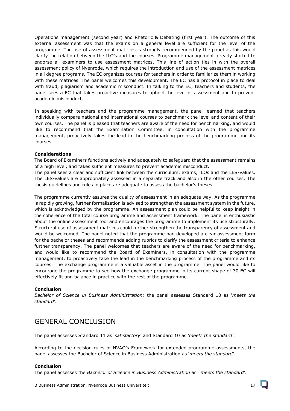Operations management (second year) and Rhetoric & Debating (first year). The outcome of this external assessment was that the exams on a general level are sufficient for the level of the programme. The use of assessment matrices is strongly recommended by the panel as this would clarify the relation between the ILO's and the courses. Programme management already started to endorse all examiners to use assessment matrices. This line of action ties in with the overall assessment policy of Nyenrode, which requires the introduction and use of the assessment matrices in all degree programs. The EC organizes courses for teachers in order to familiarize them in working with these matrices. The panel welcomes this development. The EC has a protocol in place to deal with fraud, plagiarism and academic misconduct. In talking to the EC, teachers and students, the panel sees a EC that takes proactive measures to uphold the level of assessment and to prevent academic misconduct.

In speaking with teachers and the programme management, the panel learned that teachers individually compare national and international courses to benchmark the level and content of their own courses. The panel is pleased that teachers are aware of the need for benchmarking, and would like to recommend that the Examination Committee, in consultation with the programme management, proactively takes the lead in the benchmarking process of the programme and its courses.

#### **Considerations**

The Board of Examiners functions actively and adequately to safeguard that the assessment remains of a high level, and takes sufficient measures to prevent academic misconduct.

The panel sees a clear and sufficient link between the curriculum, exams, ILOs and the LES-values. The LES-values are appropriately assessed in a separate track and also in the other courses. The thesis guidelines and rules in place are adequate to assess the bachelor's theses.

The programme currently assures the quality of assessment in an adequate way. As the programme is rapidly growing, further formalization is advised to strengthen the assessment system in the future, which is acknowledged by the programme. An assessment plan could be helpful to keep insight in the coherence of the total course programme and assessment framework. The panel is enthusiastic about the online assessment tool and encourages the programme to implement its use structurally. Structural use of assessment matrices could further strengthen the transparency of assessment and would be welcomed. The panel noted that the programme had developed a clear assessment form for the bachelor theses and recommends adding rubrics to clarify the assessment criteria to enhance further transparency. The panel welcomes that teachers are aware of the need for benchmarking, and would like to recommend the Board of Examiners, in consultation with the programme management, to proactively take the lead in the benchmarking process of the programme and its courses. The exchange programme is a valuable asset in the programme. The panel would like to encourage the programme to see how the exchange programme in its current shape of 30 EC will effectively fit and balance in practice with the rest of the programme.

#### **Conclusion**

*Bachelor of Science in Business Administration:* the panel assesses Standard 10 as '*meets the standard*'.

### GENERAL CONCLUSION

The panel assesses Standard 11 as '*satisfactory*' and Standard 10 as '*meets the standard'*.

According to the decision rules of NVAO's Framework for extended programme assessments, the panel assesses the Bachelor of Science in Business Administration as '*meets the standard*'.

#### **Conclusion**

The panel assesses the *Bachelor of Science in Business Administration* as '*meets the standard*'.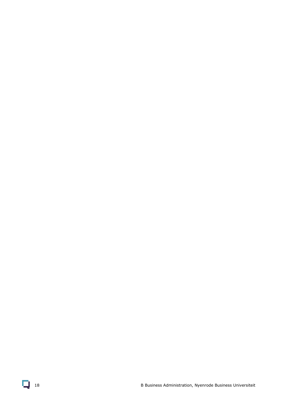**B** Business Administration, Nyenrode Business Universiteit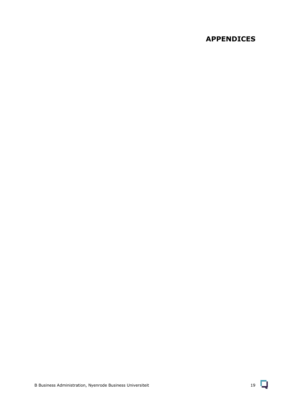### <span id="page-18-0"></span>**APPENDICES**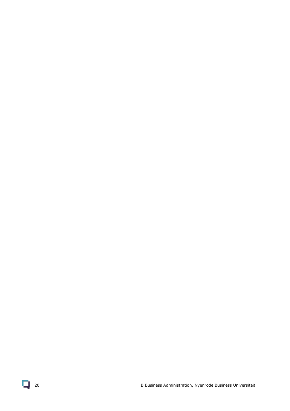B Business Administration, Nyenrode Business Universiteit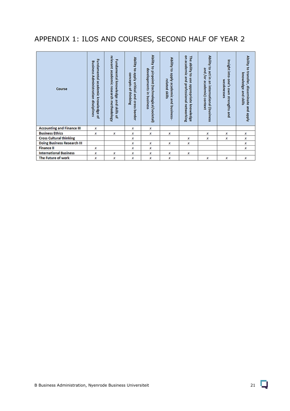# <span id="page-20-0"></span>APPENDIX 1: ILOS AND COURSES, SECOND HALF OF YEAR 2

| Course                             | Fundamental academic knowledge of<br><b>Business Administration disciplines</b> | relevant academic research methodology<br>Fundamental knowledge and skills of | Ability to apply critical and cross border<br>concepts of thinking | Ability to pinpoint (technological/societal)<br>developments in business | Ability to apply academic and business-<br>related skills | on academic and professional networking<br>1 me<br>ability to use appropriate<br>knowledge | Ability to act in an international (business<br>and /or academic) context | Insight into one's own strengths and<br>weaknesses | Ability to transfer, disseminate and apply<br>knowledge and skills |
|------------------------------------|---------------------------------------------------------------------------------|-------------------------------------------------------------------------------|--------------------------------------------------------------------|--------------------------------------------------------------------------|-----------------------------------------------------------|--------------------------------------------------------------------------------------------|---------------------------------------------------------------------------|----------------------------------------------------|--------------------------------------------------------------------|
| <b>Accounting and Finance III</b>  | x                                                                               |                                                                               | ×                                                                  | x                                                                        |                                                           |                                                                                            |                                                                           |                                                    |                                                                    |
| <b>Business Ethics</b>             | x                                                                               | x                                                                             | ×                                                                  | x                                                                        | x                                                         |                                                                                            | x                                                                         | x                                                  | x                                                                  |
| <b>Cross Cultural thinking</b>     |                                                                                 |                                                                               | ×                                                                  |                                                                          |                                                           | x                                                                                          | x                                                                         | x                                                  | x                                                                  |
| <b>Doing Business Research III</b> |                                                                                 |                                                                               | ×                                                                  | x                                                                        | x                                                         | x                                                                                          |                                                                           |                                                    | x                                                                  |
| <b>Finance II</b>                  | x                                                                               |                                                                               | ×                                                                  | x                                                                        |                                                           |                                                                                            |                                                                           |                                                    | x                                                                  |
| <b>International Business</b>      | x                                                                               | x                                                                             | ×                                                                  | x                                                                        | x                                                         | x                                                                                          |                                                                           |                                                    |                                                                    |
| The Future of work                 | x                                                                               | x                                                                             | ×                                                                  | x                                                                        | x                                                         |                                                                                            | x                                                                         | x                                                  | x                                                                  |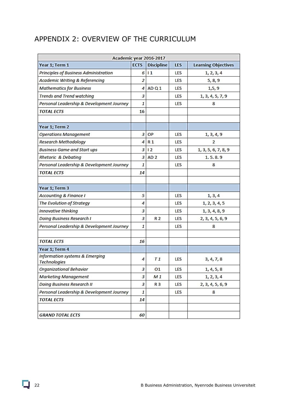## <span id="page-21-0"></span>APPENDIX 2: OVERVIEW OF THE CURRICULUM

| Academic year 2016-2017                                          |    |                                 |            |                            |  |
|------------------------------------------------------------------|----|---------------------------------|------------|----------------------------|--|
| <b>ECTS</b><br>Year 1; Term 1                                    |    | <b>Discipline</b><br><b>LES</b> |            | <b>Learning Objectives</b> |  |
| Principles of Business Administration                            |    | 1                               | <b>LES</b> | 1, 2, 3, 4                 |  |
| Academic Writing & Referencing                                   |    |                                 | <b>LES</b> | 5, 8, 9                    |  |
| <b>Mathematics for Business</b>                                  | 4  | ADQ1                            | LES        | 1,5, 9                     |  |
| <b>Trends and Trend watching</b>                                 | 3  |                                 | <b>LES</b> | 1, 3, 4, 5, 7, 9           |  |
| Personal Leadership & Development Journey                        | 1  |                                 | <b>LES</b> | 8                          |  |
| <b>TOTAL ECTS</b>                                                | 16 |                                 |            |                            |  |
|                                                                  |    |                                 |            |                            |  |
| Year 1; Term 2                                                   |    |                                 |            |                            |  |
| <b>Operations Management</b>                                     | 3  | OP                              | LES        | 1, 3, 4, 9                 |  |
| Research Methodology                                             | 4  | R <sub>1</sub>                  | <b>LES</b> | $\mathbf{2}$               |  |
| <b>Business Game and Start ups</b>                               |    | 3<br>12                         | <b>LES</b> | 1, 3, 5, 6, 7, 8, 9        |  |
| <b>Rhetoric &amp; Debating</b>                                   | 3  | AD <sub>2</sub>                 | <b>LES</b> | 1.5.8.9                    |  |
| Personal Leadership & Development Journey                        | 1  |                                 | <b>LES</b> | 8                          |  |
| <b>TOTAL ECTS</b>                                                |    |                                 |            |                            |  |
|                                                                  |    |                                 |            |                            |  |
| Year 1; Term 3                                                   |    |                                 |            |                            |  |
| <b>Accounting &amp; Finance I</b>                                | 5  |                                 | LES        | 1, 3, 4                    |  |
| The Evolution of Strategy                                        |    |                                 | <b>LES</b> | 1, 2, 3, 4, 5              |  |
| Innovative thinking                                              |    |                                 | <b>LES</b> | 1, 3, 4, 8, 9              |  |
| Doing Business Research I                                        |    | R <sub>2</sub>                  | <b>LES</b> | 2, 3, 4, 5, 6, 9           |  |
| Personal Leadership & Development Journey                        |    |                                 | <b>LES</b> | 8                          |  |
|                                                                  |    |                                 |            |                            |  |
| <b>TOTAL ECTS</b>                                                | 16 |                                 |            |                            |  |
| Year 1; Term 4                                                   |    |                                 |            |                            |  |
| <b>Information systems &amp; Emerging</b><br><b>Technologies</b> |    | T 1                             | <b>LES</b> | 3, 4, 7, 8                 |  |
| <b>Organizational Behavior</b>                                   |    | 01                              | LES        | 1, 4, 5, 8                 |  |
| <b>Marketing Management</b>                                      |    | M <sub>1</sub>                  | LES        | 1, 2, 3, 4                 |  |
| <b>Doing Business Research II</b>                                |    | R <sub>3</sub>                  | LES        | 2, 3, 4, 5, 6, 9           |  |
| Personal Leadership & Development Journey                        |    |                                 | LES        | 8                          |  |
| <b>TOTAL ECTS</b>                                                |    |                                 |            |                            |  |
|                                                                  |    |                                 |            |                            |  |
| <b>GRAND TOTAL ECTS</b>                                          | 60 |                                 |            |                            |  |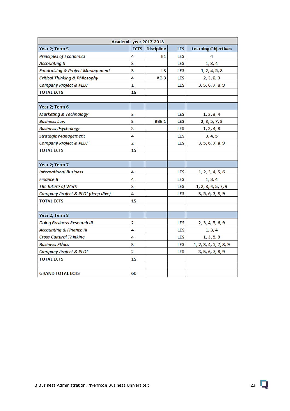| Academic year 2017-2018                     |                |                   |            |                            |  |
|---------------------------------------------|----------------|-------------------|------------|----------------------------|--|
| Year 2; Term 5                              |                | <b>Discipline</b> | LES        | <b>Learning Objectives</b> |  |
| <b>Principles of Economics</b>              | 4              | <b>B1</b>         | <b>LES</b> | 4                          |  |
| 3<br><b>Accounting II</b>                   |                |                   | LES        | 1, 3, 4                    |  |
| <b>Fundraising &amp; Project Management</b> | 3              | 13                | LES        | 1, 2, 4, 5, 8              |  |
| Critical Thinking & Philosophy              | 4              | AD <sub>3</sub>   | <b>LES</b> | 2, 3, 8, 9                 |  |
| <b>Company Project &amp; PLDJ</b>           | 1              |                   | LES        | 3, 5, 6, 7, 8, 9           |  |
| <b>TOTAL ECTS</b>                           | 15             |                   |            |                            |  |
|                                             |                |                   |            |                            |  |
| Year 2; Term 6                              |                |                   |            |                            |  |
| <b>Marketing &amp; Technology</b>           | 3              |                   | LES        | 1, 2, 3, 4                 |  |
| <b>Business Law</b>                         | 3              | <b>BBE1</b>       | LES        | 2, 3, 5, 7, 9              |  |
| <b>Business Psychology</b>                  | 3              |                   | <b>LES</b> | 1, 3, 4, 8                 |  |
| <b>Strategic Management</b>                 | 4              |                   | <b>LES</b> | 3, 4, 5                    |  |
| <b>Company Project &amp; PLDJ</b>           | $\overline{a}$ |                   | LES        | 3, 5, 6, 7, 8, 9           |  |
| <b>TOTAL ECTS</b>                           | 15             |                   |            |                            |  |
|                                             |                |                   |            |                            |  |
| Year 2; Term 7                              |                |                   |            |                            |  |
| <b>International Business</b>               | 4              |                   | <b>LES</b> | 1, 2, 3, 4, 5, 6           |  |
| <b>Finance II</b>                           | 4              |                   | <b>LES</b> | 1, 3, 4                    |  |
| The future of Work                          | 3              |                   | <b>LES</b> | 1, 2, 3, 4, 5, 7, 9        |  |
| Company Project & PLDJ (deep dive)          | 4              |                   | LES        | 3, 5, 6, 7, 8, 9           |  |
| <b>TOTAL ECTS</b>                           | 15             |                   |            |                            |  |
|                                             |                |                   |            |                            |  |
| Year 2; Term 8                              |                |                   |            |                            |  |
| <b>Doing Business Research III</b>          | 2              |                   | <b>LES</b> | 2, 3, 4, 5, 6, 9           |  |
| <b>Accounting &amp; Finance III</b>         | 4              |                   | <b>LES</b> | 1, 3, 4                    |  |
| <b>Cross Cultural Thinking</b>              | 4              |                   | <b>LES</b> | 1, 3, 5, 9                 |  |
| <b>Business Ethics</b>                      | 3              |                   | <b>LES</b> | 1, 2, 3, 4, 5, 7, 8, 9     |  |
| Company Project & PLDJ                      |                |                   | <b>LES</b> | 3, 5, 6, 7, 8, 9           |  |
| <b>TOTAL ECTS</b>                           | 15             |                   |            |                            |  |
|                                             |                |                   |            |                            |  |
| <b>GRAND TOTAL ECTS</b>                     | 60             |                   |            |                            |  |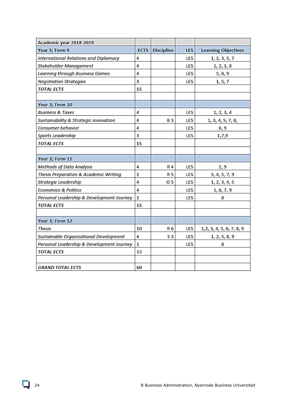| Academic year 2018-2019                      |                |                   |            |                            |
|----------------------------------------------|----------------|-------------------|------------|----------------------------|
| Year 3; Term 9                               | <b>ECTS</b>    | <b>Discipline</b> | <b>LES</b> | <b>Learning Objectives</b> |
| <b>International Relations and Diplomacy</b> | 4              |                   | LES        | 1, 2, 3, 5, 7              |
| <b>Stakeholder Management</b>                | 4              |                   | LES        | 1, 2, 3, 8                 |
| Learning through Business Games              | 4              |                   | LES        | 5, 8, 9                    |
| <b>Negotiation Strategies</b>                | 3              |                   | LES        | 1, 5, 7                    |
| <b>TOTAL ECTS</b>                            | 15             |                   |            |                            |
|                                              |                |                   |            |                            |
| Year 3; Term 10                              |                |                   |            |                            |
| <b>Business &amp; Taxes</b>                  | 4              |                   | <b>LES</b> | 1, 2, 3, 4                 |
| Sustainability & Strategic innovation        | 4              | <b>B3</b>         | LES        | 1, 3, 4, 5, 7, 8,          |
| <b>Consumer behavior</b>                     | 4              |                   | LES        | 8,9                        |
| Sports Leadership                            | 3              |                   | <b>LES</b> | 1,7,9                      |
| <b>TOTAL ECTS</b>                            | 15             |                   |            |                            |
|                                              |                |                   |            |                            |
| Year 3; Term 11                              |                |                   |            |                            |
| <b>Methods of Data Analysis</b>              | 4              | <b>R4</b>         | <b>LES</b> | 2, 9                       |
| Thesis Preparation & Academic Writing        | $\overline{2}$ | R 5               | <b>LES</b> | 3, 4, 5, 7, 9              |
| Strategic Leadership                         | 4              | <b>O5</b>         | <b>LES</b> | 1, 2, 3, 4, 5              |
| <b>Economics &amp; Politics</b>              | 4              |                   | LES        | 1, 6, 7, 9                 |
| Personal Leadership & Development Journey    | $\mathbf{1}$   |                   | LES        | 8                          |
| <b>TOTAL ECTS</b>                            | 15             |                   |            |                            |
|                                              |                |                   |            |                            |
| Year 3; Term 12                              |                |                   |            |                            |
| <b>Thesis</b>                                | 10             | R 6               | <b>LES</b> | 1, 2, 3, 4, 5, 6, 7, 8, 9  |
| Sustainable Organizational Development       | $\overline{4}$ | S <sub>3</sub>    | <b>LES</b> | 1, 2, 5, 8, 9              |
| Personal Leadership & Development Journey    |                |                   | <b>LES</b> | 8                          |
| <b>TOTAL ECTS</b>                            | 15             |                   |            |                            |
|                                              |                |                   |            |                            |
| <b>GRAND TOTAL ECTS</b>                      | 60             |                   |            |                            |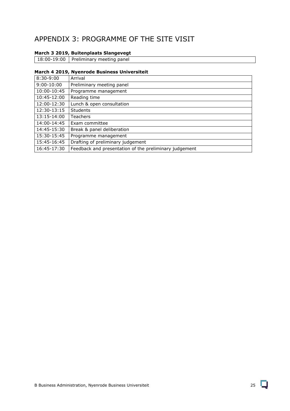### <span id="page-24-0"></span>APPENDIX 3: PROGRAMME OF THE SITE VISIT

### **March 3 2019, Buitenplaats Slangevegt**

18:00-19:00 Preliminary meeting panel

#### **March 4 2019, Nyenrode Business Universiteit**

<span id="page-24-1"></span>

| $8:30-9:00$     | Arrival                                                |
|-----------------|--------------------------------------------------------|
| $9:00-10:00$    | Preliminary meeting panel                              |
| $10:00 - 10:45$ | Programme management                                   |
| 10:45-12:00     | Reading time                                           |
| 12:00-12:30     | Lunch & open consultation                              |
| 12:30-13:15     | <b>Students</b>                                        |
| $13:15 - 14:00$ | <b>Teachers</b>                                        |
| 14:00-14:45     | Exam committee                                         |
| 14:45-15:30     | Break & panel deliberation                             |
| 15:30-15:45     | Programme management                                   |
| 15:45-16:45     | Drafting of preliminary judgement                      |
| 16:45-17:30     | Feedback and presentation of the preliminary judgement |